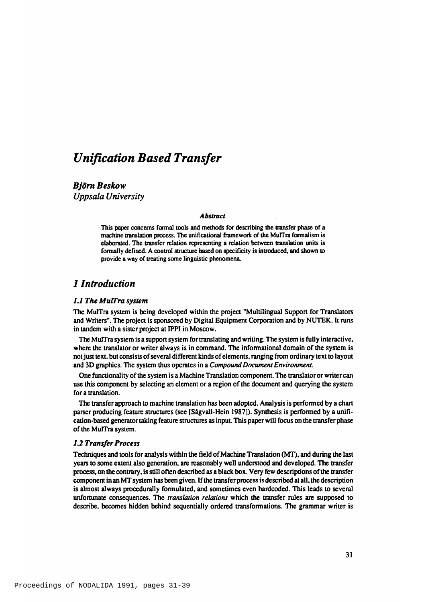# *Unification Based Transfer*

*Björn Beskow Uppsala University*

### *Abstract*

This paper concerns formal tools and methods for describing the transfer phase of a machine translation process. The unificational framework of the MuITra formalism is elaborated. The transfer relation representing a relation between translation units is formally defined. A control structure based on specificity is introduced, and shown to provide a way of treating some linguistic phenomena.

# *1 Introduction*

### *L I The MuTTra system*

The MulTra system is being developed within the project "Multilingual Support for Translators" and Writers". The project is sponsored by Digital Equipment Corporation and by NUTEK. It runs in tandem with a sister project at IPPI in Moscow.

The MulTra system is a support system for translating and writing. The system is fully interactive, where the translator or writer always is in command. The informational domain of the system is not just text, but consists of several different kinds of elements, ranging from ordinary text to layout and 3D graphics. The system thus operates in a *Compound Document Environment*.

One functionality of the system is a Machine Translation component. The translator or writer can use this component by selecting an element or a region of the document and querying the system for a translation.

The transfer approach to machine translation has been adopted. Analysis is performed by a chart parser producing feature structures (see [Sagvall-Hein 1987]). Synthesis is performed by a unification-based generator taking feature structures as input. This paper will focus on the transfer phase of the MulTra system.

### *1.2 Transfer Process*

Techniques and tools for analysis within the field of Machine Translation (MT), and during the last years to some extent also generation, are reasonably well understood and developed. The transfer process, on the contrary, is still often described as a black box. Very few descriptions of the transfer component in an MT system has been given. If the transfer process is described at all, the description is almost always procedurally formulated, and sometimes even hardcoded. This leads to several unfortunate consequences. The *translation relations* which the transfer rules are supposed to describe, becomes hidden behind sequentially ordered transformations. The grammar writer is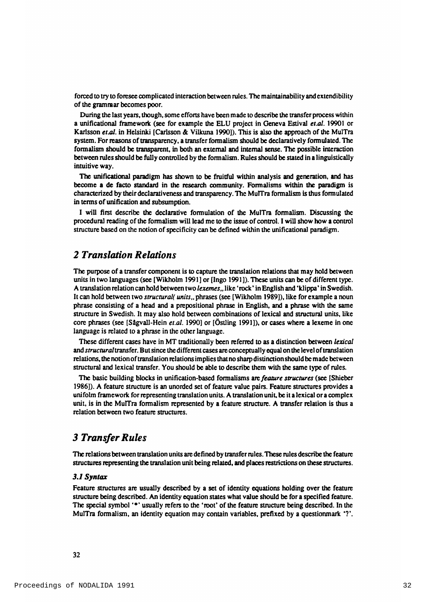forced to try to foresee complicated interaction between rules. The maintainability and extendibility of the grammar becomes poor.

During the last years, though, some efforts have been made to describe the transfer process within a unificational framework (see for example the ELU project in Geneva Estival *et.al.* 19901 or Karlsson *et al.* in Helsinki [Carlsson & Vilkuna 1990]). This is also the approach of the MulTra system. For reasons of transparency, a transfer formalism should be declaratively formulated. The formalism should be transparent, in both an external and internal sense. The possible interaction between rules should be fully controlled by the formalism. Rules should be stated in a linguistically intuitive way.

The unificational paradigm has shown to be fruitful within analysis and generation, and has become a de facto standard in the research community. Formalisms within the paradigm is characterized by their declarativeness and transparency. The MulTra formalism is thus formulated in terms of unification and subsumption.

I will first describe the declarative formulation of the MulTra formalism. Discussing the procedural reading of the formalism will lead me to the issue of control. I will show how a control structure based on the notion of specificity can be defined within the unificational paradigm.

# **2** *Translation Relations*

The purpose of a transfer component is to capture the translation relations that may hold between units in two languages (see [Wikholm 1991] or [Ingo 1991]). These units can be of different type. A translation relation can hold between two *lexemes*,, like 'rock' in English and 'klippa' in Swedish. It can hold between two *structural( units., phrases (see [Wikholm 1989]), like for example a noun* phrase consisting of a head and a prepositional phrase in English, and a phrase with the same structure in Swedish. It may also hold between combinations of lexical and structural units, like core phrases (see [Sågvall-Hein *et.al.* 1990] or [Östling 1991]), or cases where a lexeme in one language is related to a phrase in the other language.

These different cases have in MT traditionally been referred to as a distinction between *lexical* and structural transfer. But since the different cases are conceptually equal on the level of translation relations, the notion of translation relations implies that no sharp distinction should be made between structural and lexical transfer. You should be able to describe them with the same type of rules.

The basic building blocks in unification-based formalisms are *feature structures* (see [Shieber 1986]). A feature structure is an unorded set of feature value pairs. Feature structures provides a unifolm framework for representing translation units. A translation unit, be it a lexical or a complex unit, is in the MulTra formalism represented by a feature structure. A transfer relation is thus a relation between two feature structures.

# *3 Transfer Rules*

The relations between translation units are defined by transfer rules. These rules describe the feature structures representing the translation unit being related, and places restrictions on these structures.

#### *3.1 Syntax*

Feature structures are usually described by a set of identity equations holding over the feature structure being described. An identity equation states what value should be for a specified feature. The special symbol  $'$  is usually refers to the 'root' of the feature structure being described. In the MulTra formalism, an identity equation may contain variables, prefixed by a question mark  $\cdot$   $\cdot$ .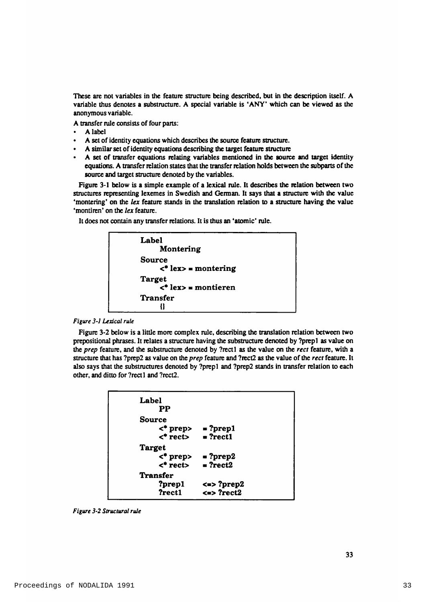These are not variables in the feature structure being described, but in the description itself. A variable thus denotes a substructure. A special variable is 'ANY' which can be viewed as the anonymous variable.

A transfer rule consists of four parts:

- A label
- A set of identity equations which describes the source feature structure.
- A similar set of identity equations describing the target feature structure
- A set of transfer equations relating variables mentioned in the source and target identity equations. A transfer relation states that the transfer relation holds between the subparts of the source and target structure denoted by the variables.

Figure 3-1 below is a simple example of a lexical rule. It describes the relation between two structures representing lexemes in Swedish and German. It says that a structure with the value 'montering' on the *lex* feature stands in the translation relation to a structure having the value 'montiren' on the *lex* feature.

It does not contain any transfer relations. It is thus an 'atomic' rule.



#### *Figure 3-1 Lexical rule*

Figure 3-2 below is a little more complex rule, describing the translation relation between two prepositional phrases. It relates a structure having the substructure denoted by ?prep1 as value on the *prep* feature, and the substructure denoted by ?rect1 as the value on the *rect* feature, with a structure that has ?ptep2 as value on the *prep* feature and ?rect2 as the value o f the *rect* feature. It also says that the substructures denoted by ?prep1 and ?prep2 stands in transfer relation to each other, and ditto for ?rect1 and ?rect2.

| Label<br>PP   |                            |
|---------------|----------------------------|
| Source        |                            |
|               | $\langle$ * prep> = ?prep1 |
|               | $\langle$ rect> = ?rect1   |
| <b>Target</b> |                            |
|               | $\langle$ * prep> = ?prep2 |
|               | $\langle$ rect> = ?rect2   |
| Transfer      |                            |
| ?prep1        | $\le$ > ?prep2             |
| ?rect1        | $\le$ > ?rect2             |
|               |                            |

*Figure 3-2 Structural rule*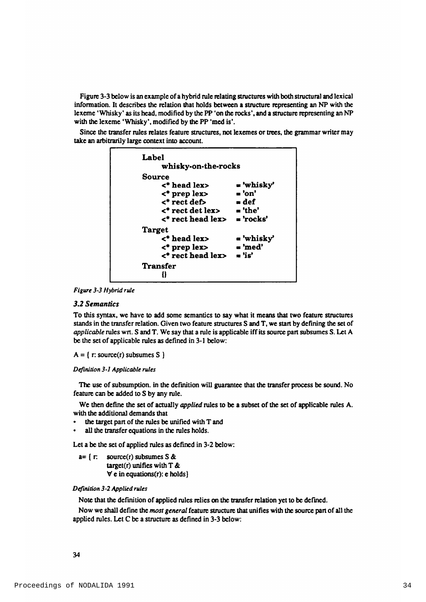Figure 3-3 below is an example of a hybrid rule relating structures with both structural and lexical information. It describes the relation that holds between a structure representing an NP with the lexeme 'Whisky' as its head, modified by the PP 'on the rocks', and a structure representing an NP with the lexeme 'Whisky', modified by the PP 'med is'.

Since the transfer rules relates feature structures, not lexemes or trees, the grammar writer may take an arbitrarily large context into account.



Figure 3-3 Hybrid rule

### **3.2 Semantics**

To this syntax, we have to add some semantics to say what it means that two feature structures stands in the transfer relation. Given two feature structures S and T, we start by defining the set of applicable rules wrt. S and T. We say that a rule is applicable iff its source part subsumes S. Let A be the set of applicable rules as defined in 3-1 below:

```
A = \{ r: source(r) subsumes S \}
```

```
Definition 3-1 Applicable rules
```
The use of subsumption. in the definition will guarantee that the transfer process be sound. No feature can be added to S by any rule.

We then define the set of actually *applied* rules to be a subset of the set of applicable rules A. with the additional demands that

- the target part of the rules be unified with T and
- all the transfer equations in the rules holds.

Let a be the set of applied rules as defined in 3-2 below:

 $a = \int \Gamma$ source( $r$ ) subsumes S & target(r) unifies with  $T \&$  $\forall$  e in equations(r): e holds)

## Definition 3-2 Applied rules

Note that the definition of applied rules relies on the transfer relation yet to be defined.

Now we shall define the most general feature structure that unifies with the source part of all the applied rules. Let C be a structure as defined in 3-3 below: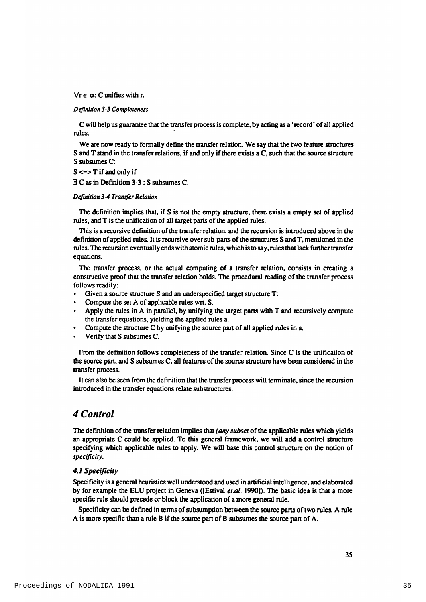$\forall r \in \alpha$ : C unifies with r.

#### *Definition 3-3 Completeness*

C will help us guarantee that the transfer process is complete, by acting as a 'record' of all applied rules.

We are now ready to formally define the transfer relation. We say that the two feature structures S and T stand in the transfer relations, if and only if there exists a C, such that the source structure S subsumes C:

 $S \leq S$  T if and only if

**B C as in Definition 3-3 : S subsumes C.** 

#### *Definition 3-4 Tranter Relation*

The definition implies that, if S is not the empty structure, there exists a empty set of applied rules, and T is the unification of all target parts of the applied rules.

This is a recursive definition of the transfer relation, and the recursion is introduced above in the definition of applied rules. It is recursive over sub-parts of the structures S and T, mentioned in the rules. The recursion eventually ends with atomic rules, which is to say, rules that lack further transfer equations.

The transfer process, or the actual computing of a transfer relation, consists in creating a constructive proof that the transfer relation holds. The procedural reading of the transfer process follows readily:

- Given a source structure S and an underspecified target structure T:
- Compute the set A of applicable rules wrt. S.
- Apply the rules in A in parallel, by unifying the target parts with  $T$  and recursively compute the transfer equations, vielding the applied rules a.
- Compute the structure C by unifying the source part of all applied rules in a.
- Verify that S subsumes C.

From the definition follows completeness of the transfer relation. Since  $C$  is the unification of the source part, and S subsumes C, all features of the source structure have been considered in the transfer process.

It can also be seen from the definition that the transfer process will terminate, since the recursion introduced in the transfer equations relate substructures.

# *4 Control*

The definition of the transfer relation implies that *(any subset* of the applicable rules which yields an appropriate C could be applied. To this general framework, we will add a control structure specifying which applicable rules to apply. We will base this control structure on the notion of *specificity.*

### *4.1 Specificity*

Specificity is a general heuristics well understood and used in artificial intelligence, and elaborated by for example the ELU project in Geneva ([Estival *et.al.* 1990]). The basic idea is that a more specific rule should precede or block the application of a more general rule.

Specificity can be defined in terms of subsumption between the source parts of two rules. A rule A is more specific than a rule B if the source part of B subsumes the source part of  $A$ .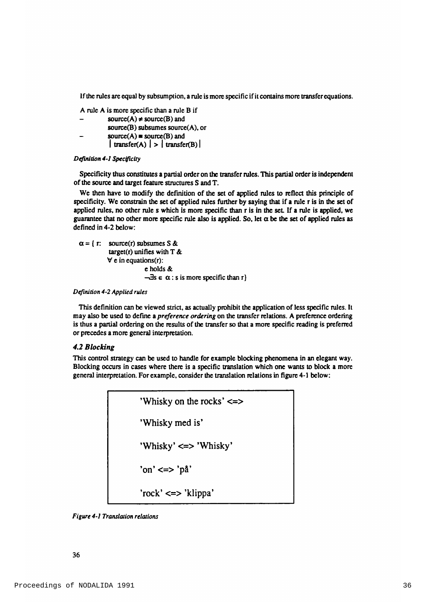If the rules are equal by subsumption, a rule is more specific if it contains more transfer equations.

A rule A is more specific than a rule B if

source(A)  $\neq$  source(B) and source $(B)$  subsumes source $(A)$ , or  $source(A) = source(B)$  and  $\vert$  transfer(A)  $\vert$  >  $\vert$  transfer(B)  $\vert$ 

#### *Definition 4-1 Spec^icity*

Specificity thus constitutes a partial order on the transfer rules. This partial order is independent of the source and target feature structures S and T.

We then have to modify the definition of the set of applied rules to reflect this principle of specificity. We constrain the set of applied rules further by saying that if a rule r is in the set of applied rules, no other rule s which is more specific than r is in the set. If a rule is applied, we guarantee that no other more specific rule also is applied. So, let  $\alpha$  be the set of applied rules as defined in 4-2 below:

 $\alpha = \{ r: source(r)$  subsumes S & target(r) unifies with  $T \&$  $\forall$  e in equations(r): e holds &  $-\exists s \in \alpha : s \text{ is more specific than } r$ 

*Definition 4-2 Applied rules*

This definition can be viewed strict, as actually prohibit the application of less specific rules. It may also be used to define a *preference ordering* on the transfer relations. A preference ordering is thus a partial ordering on the results of the transfer so that a more specific reading is preferred or precedes a more general interpretation.

#### *4.2 Blocking*

This control strategy can be used to handle for example blocking phenomena in an elegant way. Blocking occurs in cases where there is a specific translation which one wants to block a more general interpretation. For example, consider the translation relations in figure 4-1 below:



*Figure 4-1 Translation relations*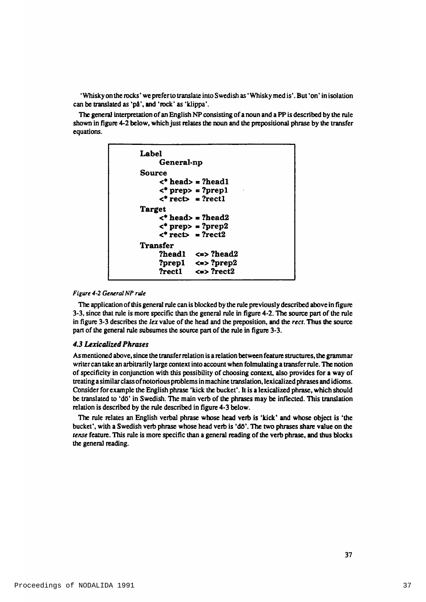'Whisky on the rocks' we prefer to translate into Swedish as 'Whisky med is'. But 'on' in isolation can be translated as 'på', and 'rock' as 'klippa'.

The general interpretation of an English NP consisting of a noun and a PP is described by the rule shown in figure 4-2 below, which just relates the noun and the prepositional phrase by the transfer equations.



#### *Figure 4-2 General NP rule*

The application of this general rule can is blocked by the rule previously described above in figure 3-3, since that rule is more specific than the general rule in figure 4-2. The source part of the rule in figure 3-3 describes the *lex* value of the head and the preposition, and the *rect*. Thus the source part of the general rule subsumes the source part of the rule in figure 3-3.

### *4.3 Lexicalized Phrases*

As mentioned above, since the transfer relation is a relation between feature structures, the grammar writer can take an arbitrarily large context into account when folmulating a transfer rule. The notion of specificity in conjunction with this possibility of choosing context, also provides for a way of treating a similar class of notorious problems in machine translation, lexicalized phrases and idioms. Consider for example the English phrase 'kick the bucket'. It is a lexicalized phrase, which should be translated to 'do' in Swedish. The main verb of the phrases may be inflected. This translation relation is described by the rule described in figure 4-3 below.

The rule relates an English verbal phrase whose head verb is 'kick' and whose object is 'the bucket', with a Swedish verb phrase whose head verb is 'do'. The two phrases share value on the *tense* feature. This rule is more specific than a general reading of the verb phrase, and thus blocks the general reading.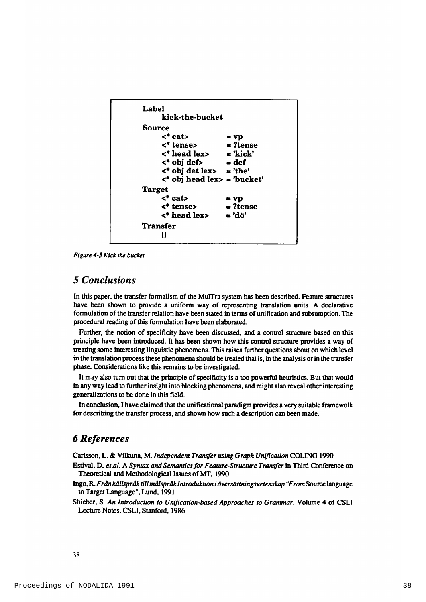

*Figure 4-3 Kick the bucket*

# *5 Conclusions*

In this paper, the transfer formalism of the MulTra system has been described. Feature structures have been shown to provide a uniform way of representing translation units. A declarative formulation of the transfer relation have been stated in terms of unification and subsumption. The procedural reading of this formulation have been elaborated.

Further, the notion of specificity have been discussed, and a control structure based on this principle have been introduced. It has been shown how this control structure provides a way of treating some interesting linguistic phenomena. This raises further questions about on which level in the translation process these phenomena should be treated that is, in the analysis or in the transfer phase. Considerations like this remains to be investigated.

It may also turn out that the principle of specificity is a too powerful heuristics. But that would in any way lead to further insight into blocking phenomena, and might also reveal other interesting generalizations to be done in this field.

In conclusion, I have claimed that the unificational paradigm provides a very suitable framewolk for describing the transfer process, and shown how such a description can been made.

# *6 References*

Carlsson, L. & Vilkuna, M. *Independent Transfer using Graph Unification* COLING 1990

- Estival, D. et.al. A Syntax and Semantics for Feature-Structure Transfer in Third Conference on Theoretical and Methodological Issues of MT, 1990
- Ingo, R. Från källspråk till målspråk Introduktion i översättningsvetenskap "From Source language to Target Language", Lund, 1991

Shieber, S. An Introduction to Unification-based Approaches to Grammar. Volume 4 of CSLI Lecture Notes. CSLI, Stanford, 1986